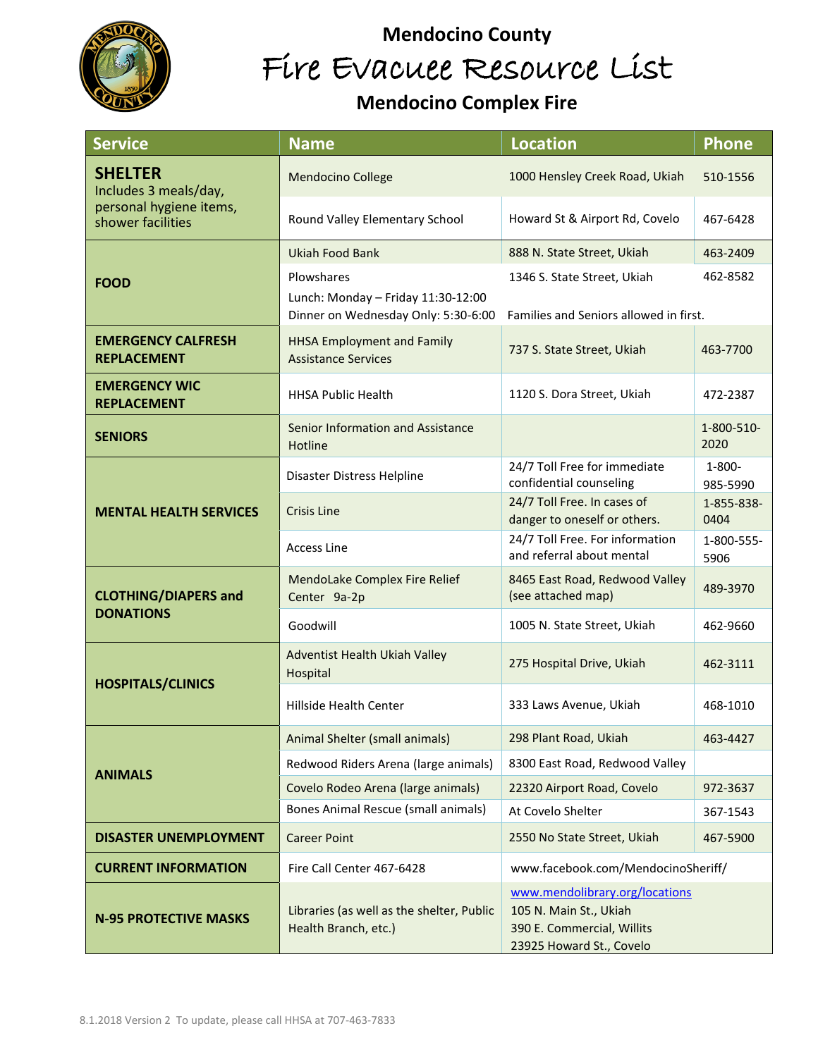

## **Mendocino County**  Fire Evacuee Resource List

## **Mendocino Complex Fire**

| <b>Service</b>                                                                          | <b>Name</b>                                                                             | <b>Location</b>                                                                                                    | <b>Phone</b>            |
|-----------------------------------------------------------------------------------------|-----------------------------------------------------------------------------------------|--------------------------------------------------------------------------------------------------------------------|-------------------------|
| <b>SHELTER</b><br>Includes 3 meals/day,<br>personal hygiene items,<br>shower facilities | <b>Mendocino College</b>                                                                | 1000 Hensley Creek Road, Ukiah                                                                                     | 510-1556                |
|                                                                                         | Round Valley Elementary School                                                          | Howard St & Airport Rd, Covelo                                                                                     | 467-6428                |
| <b>FOOD</b>                                                                             | <b>Ukiah Food Bank</b>                                                                  | 888 N. State Street, Ukiah                                                                                         | 463-2409                |
|                                                                                         | Plowshares<br>Lunch: Monday - Friday 11:30-12:00<br>Dinner on Wednesday Only: 5:30-6:00 | 1346 S. State Street, Ukiah<br>462-8582<br>Families and Seniors allowed in first.                                  |                         |
| <b>EMERGENCY CALFRESH</b><br><b>REPLACEMENT</b>                                         | <b>HHSA Employment and Family</b><br><b>Assistance Services</b>                         | 737 S. State Street, Ukiah                                                                                         | 463-7700                |
| <b>EMERGENCY WIC</b><br><b>REPLACEMENT</b>                                              | <b>HHSA Public Health</b>                                                               | 1120 S. Dora Street, Ukiah                                                                                         | 472-2387                |
| <b>SENIORS</b>                                                                          | Senior Information and Assistance<br>Hotline                                            |                                                                                                                    | 1-800-510-<br>2020      |
| <b>MENTAL HEALTH SERVICES</b>                                                           | Disaster Distress Helpline                                                              | 24/7 Toll Free for immediate<br>confidential counseling                                                            | $1 - 800 -$<br>985-5990 |
|                                                                                         | <b>Crisis Line</b>                                                                      | 24/7 Toll Free. In cases of<br>danger to oneself or others.                                                        | 1-855-838-<br>0404      |
|                                                                                         | <b>Access Line</b>                                                                      | 24/7 Toll Free. For information<br>and referral about mental                                                       | 1-800-555-<br>5906      |
| <b>CLOTHING/DIAPERS and</b><br><b>DONATIONS</b>                                         | MendoLake Complex Fire Relief<br>Center 9a-2p                                           | 8465 East Road, Redwood Valley<br>(see attached map)                                                               | 489-3970                |
|                                                                                         | Goodwill                                                                                | 1005 N. State Street, Ukiah                                                                                        | 462-9660                |
| <b>HOSPITALS/CLINICS</b>                                                                | Adventist Health Ukiah Valley<br>Hospital                                               | 275 Hospital Drive, Ukiah                                                                                          | 462-3111                |
|                                                                                         | Hillside Health Center                                                                  | 333 Laws Avenue, Ukiah                                                                                             | 468-1010                |
| <b>ANIMALS</b>                                                                          | Animal Shelter (small animals)                                                          | 298 Plant Road, Ukiah                                                                                              | 463-4427                |
|                                                                                         | Redwood Riders Arena (large animals)                                                    | 8300 East Road, Redwood Valley                                                                                     |                         |
|                                                                                         | Covelo Rodeo Arena (large animals)                                                      | 22320 Airport Road, Covelo                                                                                         | 972-3637                |
|                                                                                         | Bones Animal Rescue (small animals)                                                     | At Covelo Shelter                                                                                                  | 367-1543                |
| <b>DISASTER UNEMPLOYMENT</b>                                                            | <b>Career Point</b>                                                                     | 2550 No State Street, Ukiah                                                                                        | 467-5900                |
| <b>CURRENT INFORMATION</b>                                                              | Fire Call Center 467-6428                                                               | www.facebook.com/MendocinoSheriff/                                                                                 |                         |
| <b>N-95 PROTECTIVE MASKS</b>                                                            | Libraries (as well as the shelter, Public<br>Health Branch, etc.)                       | www.mendolibrary.org/locations<br>105 N. Main St., Ukiah<br>390 E. Commercial, Willits<br>23925 Howard St., Covelo |                         |